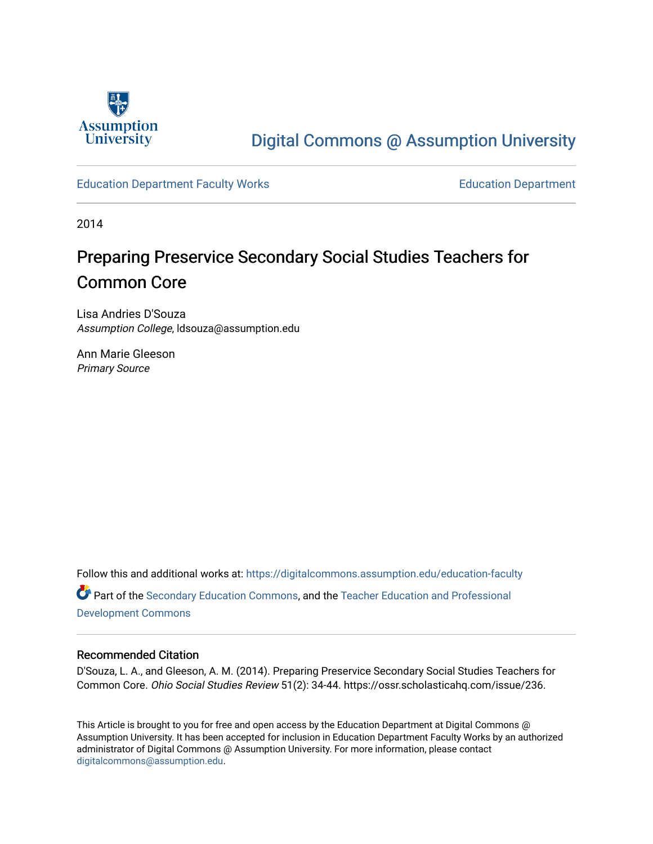

# [Digital Commons @ Assumption University](https://digitalcommons.assumption.edu/)

#### [Education Department Faculty Works](https://digitalcommons.assumption.edu/education-faculty) [Education Department](https://digitalcommons.assumption.edu/education)

2014

# Preparing Preservice Secondary Social Studies Teachers for Common Core

Lisa Andries D'Souza Assumption College, ldsouza@assumption.edu

Ann Marie Gleeson Primary Source

Follow this and additional works at: [https://digitalcommons.assumption.edu/education-faculty](https://digitalcommons.assumption.edu/education-faculty?utm_source=digitalcommons.assumption.edu%2Feducation-faculty%2F2&utm_medium=PDF&utm_campaign=PDFCoverPages)  Part of the [Secondary Education Commons,](http://network.bepress.com/hgg/discipline/1382?utm_source=digitalcommons.assumption.edu%2Feducation-faculty%2F2&utm_medium=PDF&utm_campaign=PDFCoverPages) and the [Teacher Education and Professional](http://network.bepress.com/hgg/discipline/803?utm_source=digitalcommons.assumption.edu%2Feducation-faculty%2F2&utm_medium=PDF&utm_campaign=PDFCoverPages) [Development Commons](http://network.bepress.com/hgg/discipline/803?utm_source=digitalcommons.assumption.edu%2Feducation-faculty%2F2&utm_medium=PDF&utm_campaign=PDFCoverPages) 

#### Recommended Citation

D'Souza, L. A., and Gleeson, A. M. (2014). Preparing Preservice Secondary Social Studies Teachers for Common Core. Ohio Social Studies Review 51(2): 34-44. https://ossr.scholasticahq.com/issue/236.

This Article is brought to you for free and open access by the Education Department at Digital Commons @ Assumption University. It has been accepted for inclusion in Education Department Faculty Works by an authorized administrator of Digital Commons @ Assumption University. For more information, please contact [digitalcommons@assumption.edu](mailto:digitalcommons@assumption.edu).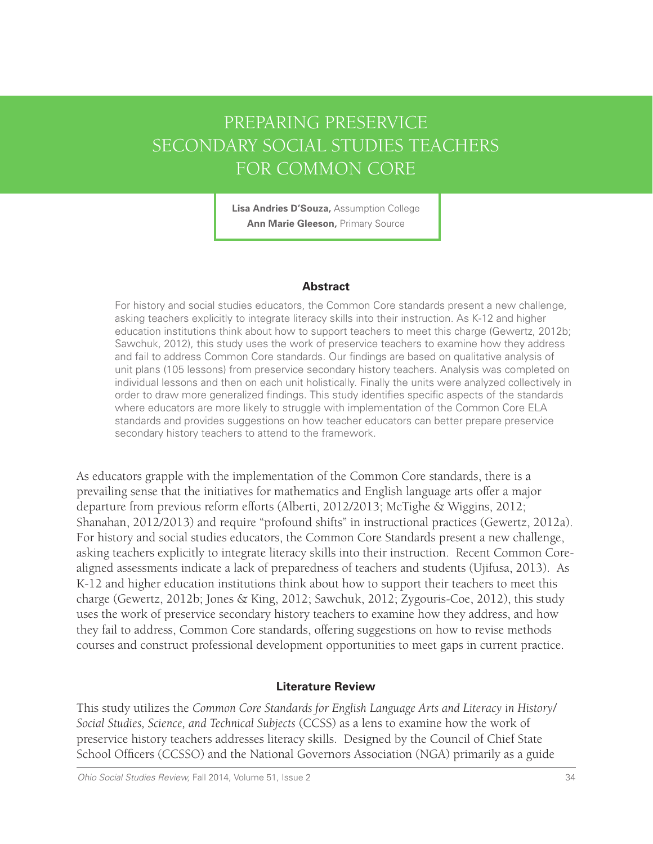# PREPARING PRESERVICE SECONDARY SOCIAL STUDIES TEACHERS FOR COMMON CORE

**Lisa Andries D'Souza,** Assumption College **Ann Marie Gleeson,** Primary Source

#### **Abstract**

For history and social studies educators, the Common Core standards present a new challenge, asking teachers explicitly to integrate literacy skills into their instruction. As K-12 and higher education institutions think about how to support teachers to meet this charge (Gewertz, 2012b; Sawchuk, 2012), this study uses the work of preservice teachers to examine how they address and fail to address Common Core standards. Our findings are based on qualitative analysis of unit plans (105 lessons) from preservice secondary history teachers. Analysis was completed on individual lessons and then on each unit holistically. Finally the units were analyzed collectively in order to draw more generalized findings. This study identifies specific aspects of the standards where educators are more likely to struggle with implementation of the Common Core ELA standards and provides suggestions on how teacher educators can better prepare preservice secondary history teachers to attend to the framework.

As educators grapple with the implementation of the Common Core standards, there is a prevailing sense that the initiatives for mathematics and English language arts offer a major departure from previous reform efforts (Alberti, 2012/2013; McTighe & Wiggins, 2012; Shanahan, 2012/2013) and require "profound shifts" in instructional practices (Gewertz, 2012a). For history and social studies educators, the Common Core Standards present a new challenge, asking teachers explicitly to integrate literacy skills into their instruction. Recent Common Corealigned assessments indicate a lack of preparedness of teachers and students (Ujifusa, 2013). As K-12 and higher education institutions think about how to support their teachers to meet this charge (Gewertz, 2012b; Jones & King, 2012; Sawchuk, 2012; Zygouris-Coe, 2012), this study uses the work of preservice secondary history teachers to examine how they address, and how they fail to address, Common Core standards, offering suggestions on how to revise methods courses and construct professional development opportunities to meet gaps in current practice.

### **Literature Review**

This study utilizes the *Common Core Standards for English Language Arts and Literacy in History/ Social Studies, Science, and Technical Subjects* (CCSS) as a lens to examine how the work of preservice history teachers addresses literacy skills. Designed by the Council of Chief State School Officers (CCSSO) and the National Governors Association (NGA) primarily as a guide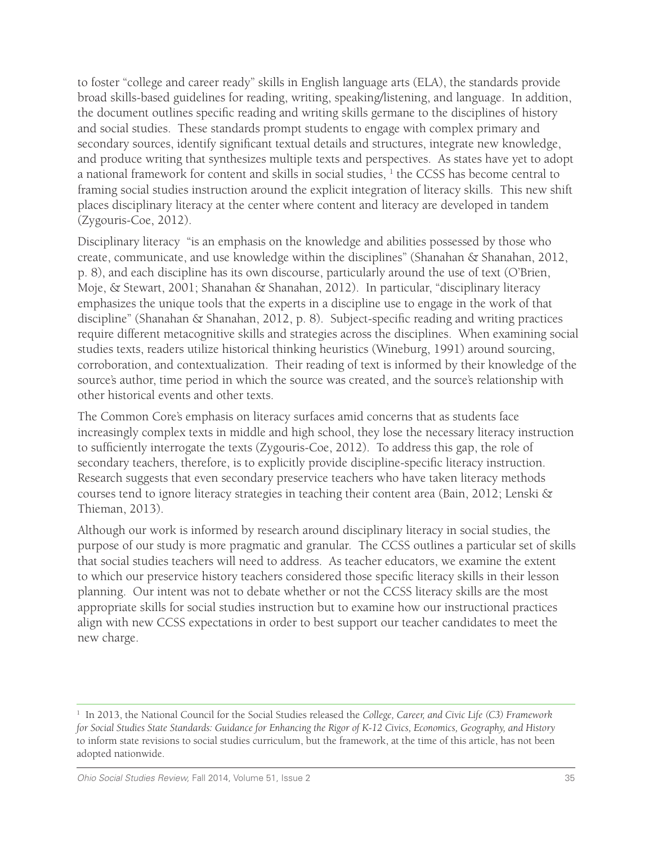to foster "college and career ready" skills in English language arts (ELA), the standards provide broad skills-based guidelines for reading, writing, speaking/listening, and language. In addition, the document outlines specific reading and writing skills germane to the disciplines of history and social studies. These standards prompt students to engage with complex primary and secondary sources, identify significant textual details and structures, integrate new knowledge, and produce writing that synthesizes multiple texts and perspectives. As states have yet to adopt a national framework for content and skills in social studies,  $^1$  the CCSS has become central to framing social studies instruction around the explicit integration of literacy skills. This new shift places disciplinary literacy at the center where content and literacy are developed in tandem (Zygouris-Coe, 2012).

Disciplinary literacy "is an emphasis on the knowledge and abilities possessed by those who create, communicate, and use knowledge within the disciplines" (Shanahan & Shanahan, 2012, p. 8), and each discipline has its own discourse, particularly around the use of text (O'Brien, Moje, & Stewart, 2001; Shanahan & Shanahan, 2012). In particular, "disciplinary literacy emphasizes the unique tools that the experts in a discipline use to engage in the work of that discipline" (Shanahan & Shanahan, 2012, p. 8). Subject-specific reading and writing practices require different metacognitive skills and strategies across the disciplines. When examining social studies texts, readers utilize historical thinking heuristics (Wineburg, 1991) around sourcing, corroboration, and contextualization. Their reading of text is informed by their knowledge of the source's author, time period in which the source was created, and the source's relationship with other historical events and other texts.

The Common Core's emphasis on literacy surfaces amid concerns that as students face increasingly complex texts in middle and high school, they lose the necessary literacy instruction to sufficiently interrogate the texts (Zygouris-Coe, 2012). To address this gap, the role of secondary teachers, therefore, is to explicitly provide discipline-specific literacy instruction. Research suggests that even secondary preservice teachers who have taken literacy methods courses tend to ignore literacy strategies in teaching their content area (Bain, 2012; Lenski & Thieman, 2013).

Although our work is informed by research around disciplinary literacy in social studies, the purpose of our study is more pragmatic and granular. The CCSS outlines a particular set of skills that social studies teachers will need to address. As teacher educators, we examine the extent to which our preservice history teachers considered those specific literacy skills in their lesson planning. Our intent was not to debate whether or not the CCSS literacy skills are the most appropriate skills for social studies instruction but to examine how our instructional practices align with new CCSS expectations in order to best support our teacher candidates to meet the new charge.

<sup>1</sup> In 2013, the National Council for the Social Studies released the *College, Career, and Civic Life (C3) Framework for Social Studies State Standards: Guidance for Enhancing the Rigor of K-12 Civics, Economics, Geography, and History*  to inform state revisions to social studies curriculum, but the framework, at the time of this article, has not been adopted nationwide.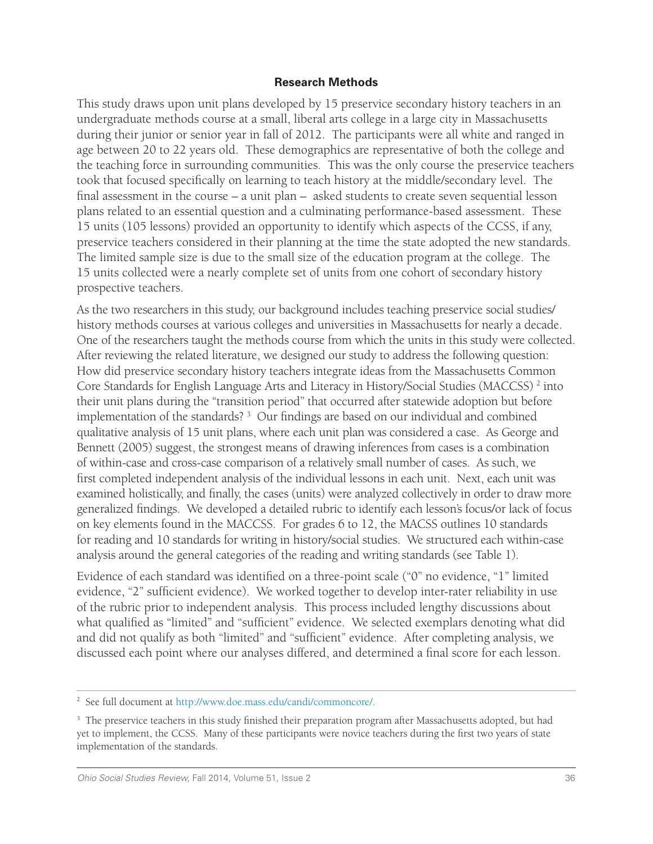#### **Research Methods**

This study draws upon unit plans developed by 15 preservice secondary history teachers in an undergraduate methods course at a small, liberal arts college in a large city in Massachusetts during their junior or senior year in fall of 2012. The participants were all white and ranged in age between 20 to 22 years old. These demographics are representative of both the college and the teaching force in surrounding communities. This was the only course the preservice teachers took that focused specifically on learning to teach history at the middle/secondary level. The final assessment in the course – a unit plan – asked students to create seven sequential lesson plans related to an essential question and a culminating performance-based assessment. These 15 units (105 lessons) provided an opportunity to identify which aspects of the CCSS, if any, preservice teachers considered in their planning at the time the state adopted the new standards. The limited sample size is due to the small size of the education program at the college. The 15 units collected were a nearly complete set of units from one cohort of secondary history prospective teachers.

As the two researchers in this study, our background includes teaching preservice social studies/ history methods courses at various colleges and universities in Massachusetts for nearly a decade. One of the researchers taught the methods course from which the units in this study were collected. After reviewing the related literature, we designed our study to address the following question: How did preservice secondary history teachers integrate ideas from the Massachusetts Common Core Standards for English Language Arts and Literacy in History/Social Studies (MACCSS)<sup>2</sup> into their unit plans during the "transition period" that occurred after statewide adoption but before implementation of the standards? 3 Our findings are based on our individual and combined qualitative analysis of 15 unit plans, where each unit plan was considered a case. As George and Bennett (2005) suggest, the strongest means of drawing inferences from cases is a combination of within-case and cross-case comparison of a relatively small number of cases. As such, we first completed independent analysis of the individual lessons in each unit. Next, each unit was examined holistically, and finally, the cases (units) were analyzed collectively in order to draw more generalized findings. We developed a detailed rubric to identify each lesson's focus/or lack of focus on key elements found in the MACCSS. For grades 6 to 12, the MACSS outlines 10 standards for reading and 10 standards for writing in history/social studies. We structured each within-case analysis around the general categories of the reading and writing standards (see Table 1).

Evidence of each standard was identified on a three-point scale ("0" no evidence, "1" limited evidence, "2" sufficient evidence). We worked together to develop inter-rater reliability in use of the rubric prior to independent analysis. This process included lengthy discussions about what qualified as "limited" and "sufficient" evidence. We selected exemplars denoting what did and did not qualify as both "limited" and "sufficient" evidence. After completing analysis, we discussed each point where our analyses differed, and determined a final score for each lesson.

<sup>2</sup> See full document at http://www.doe.mass.edu/candi/commoncore/.

<sup>&</sup>lt;sup>3</sup> The preservice teachers in this study finished their preparation program after Massachusetts adopted, but had yet to implement, the CCSS. Many of these participants were novice teachers during the first two years of state implementation of the standards.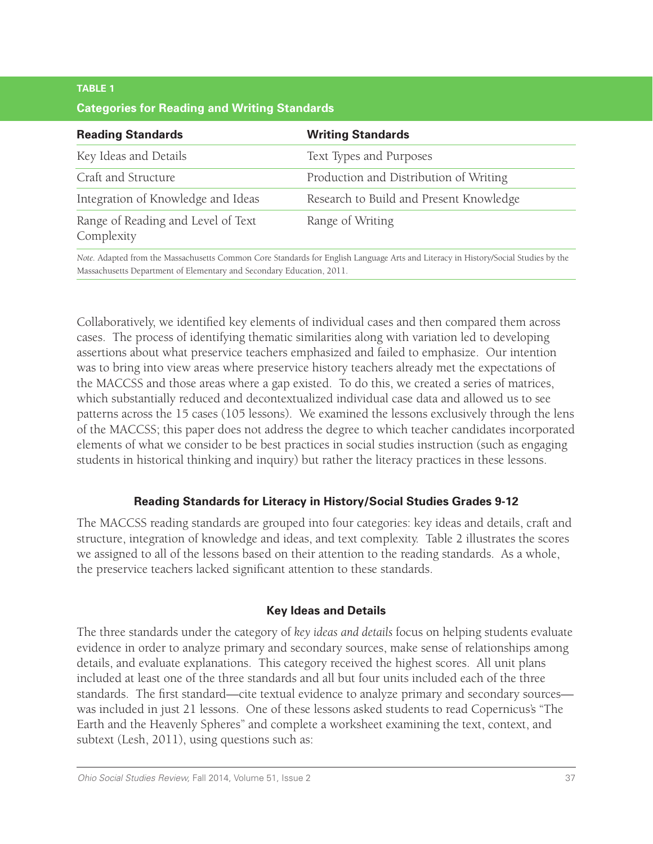## **TABLE 1 Categories for Reading and Writing Standards**

| <b>Writing Standards</b>                |
|-----------------------------------------|
| Text Types and Purposes                 |
| Production and Distribution of Writing  |
| Research to Build and Present Knowledge |
| Range of Writing                        |
|                                         |

Massachusetts Department of Elementary and Secondary Education, 2011.

Collaboratively, we identified key elements of individual cases and then compared them across cases. The process of identifying thematic similarities along with variation led to developing assertions about what preservice teachers emphasized and failed to emphasize. Our intention was to bring into view areas where preservice history teachers already met the expectations of the MACCSS and those areas where a gap existed. To do this, we created a series of matrices, which substantially reduced and decontextualized individual case data and allowed us to see patterns across the 15 cases (105 lessons). We examined the lessons exclusively through the lens of the MACCSS; this paper does not address the degree to which teacher candidates incorporated elements of what we consider to be best practices in social studies instruction (such as engaging students in historical thinking and inquiry) but rather the literacy practices in these lessons.

## **Reading Standards for Literacy in History/Social Studies Grades 9-12**

The MACCSS reading standards are grouped into four categories: key ideas and details, craft and structure, integration of knowledge and ideas, and text complexity. Table 2 illustrates the scores we assigned to all of the lessons based on their attention to the reading standards. As a whole, the preservice teachers lacked significant attention to these standards.

## **Key Ideas and Details**

The three standards under the category of *key ideas and details* focus on helping students evaluate evidence in order to analyze primary and secondary sources, make sense of relationships among details, and evaluate explanations. This category received the highest scores. All unit plans included at least one of the three standards and all but four units included each of the three standards. The first standard—cite textual evidence to analyze primary and secondary sources was included in just 21 lessons. One of these lessons asked students to read Copernicus's "The Earth and the Heavenly Spheres" and complete a worksheet examining the text, context, and subtext (Lesh, 2011), using questions such as: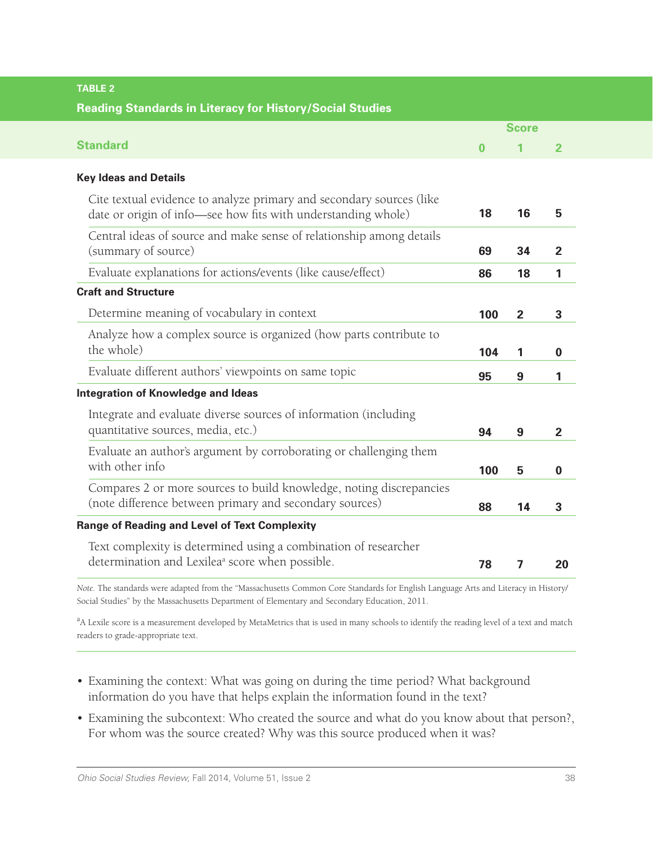| <b>TABLE 2</b>                                                                                                                        |          |                |                |  |
|---------------------------------------------------------------------------------------------------------------------------------------|----------|----------------|----------------|--|
| <b>Reading Standards in Literacy for History/Social Studies</b>                                                                       |          |                |                |  |
|                                                                                                                                       |          | <b>Score</b>   |                |  |
| <b>Standard</b>                                                                                                                       | $\bf{0}$ | 1              | $\mathbf{2}$   |  |
| <b>Key Ideas and Details</b>                                                                                                          |          |                |                |  |
| Cite textual evidence to analyze primary and secondary sources (like<br>date or origin of info-see how fits with understanding whole) | 18       | 16             | 5              |  |
| Central ideas of source and make sense of relationship among details<br>(summary of source)                                           | 69       | 34             | $\mathbf{2}$   |  |
| Evaluate explanations for actions/events (like cause/effect)                                                                          | 86       | 18             | 1              |  |
| <b>Craft and Structure</b>                                                                                                            |          |                |                |  |
| Determine meaning of vocabulary in context                                                                                            | 100      | $\overline{2}$ | 3              |  |
| Analyze how a complex source is organized (how parts contribute to<br>the whole)                                                      | 104      | 1              | 0              |  |
| Evaluate different authors' viewpoints on same topic                                                                                  | 95       | 9              | 1              |  |
| <b>Integration of Knowledge and Ideas</b>                                                                                             |          |                |                |  |
| Integrate and evaluate diverse sources of information (including<br>quantitative sources, media, etc.)                                | 94       | 9              | $\overline{2}$ |  |
| Evaluate an author's argument by corroborating or challenging them<br>with other info                                                 | 100      | 5              | $\bf{0}$       |  |
| Compares 2 or more sources to build knowledge, noting discrepancies<br>(note difference between primary and secondary sources)        | 88       | 14             | 3              |  |
| <b>Range of Reading and Level of Text Complexity</b>                                                                                  |          |                |                |  |
| Text complexity is determined using a combination of researcher<br>determination and Lexilea <sup>ª</sup> score when possible.        | 78       | 7              | 20             |  |
| $\sim$ 1 1 $\sim$ 10 $\sim$ 1 $\omega$ t 1 $\sim$ 6 $\sim$ 0 $\sim$ 1 10 $\pi$ 111                                                    |          |                |                |  |

*Note.* The standards were adapted from the "Massachusetts Common Core Standards for English Language Arts and Literacy in History/ Social Studies" by the Massachusetts Department of Elementary and Secondary Education, 2011.

<sup>a</sup>A Lexile score is a measurement developed by MetaMetrics that is used in many schools to identify the reading level of a text and match readers to grade-appropriate text.

- Examining the context: What was going on during the time period? What background information do you have that helps explain the information found in the text?
- Examining the subcontext: Who created the source and what do you know about that person?, For whom was the source created? Why was this source produced when it was?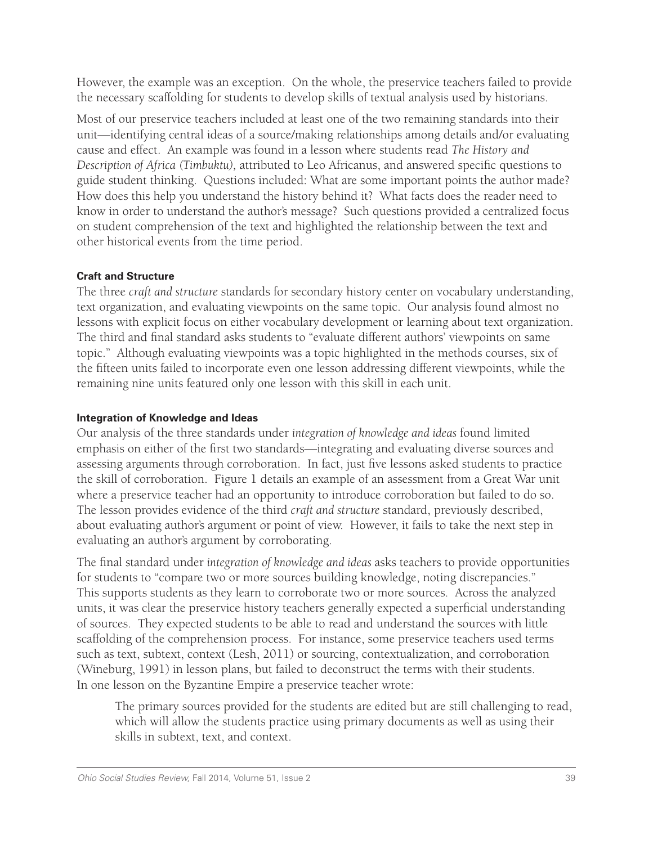However, the example was an exception. On the whole, the preservice teachers failed to provide the necessary scaffolding for students to develop skills of textual analysis used by historians.

Most of our preservice teachers included at least one of the two remaining standards into their unit—identifying central ideas of a source/making relationships among details and/or evaluating cause and effect. An example was found in a lesson where students read *The History and Description of Africa (Timbuktu),* attributed to Leo Africanus, and answered specific questions to guide student thinking. Questions included: What are some important points the author made? How does this help you understand the history behind it? What facts does the reader need to know in order to understand the author's message? Such questions provided a centralized focus on student comprehension of the text and highlighted the relationship between the text and other historical events from the time period.

## **Craft and Structure**

The three *craft and structure* standards for secondary history center on vocabulary understanding, text organization, and evaluating viewpoints on the same topic. Our analysis found almost no lessons with explicit focus on either vocabulary development or learning about text organization. The third and final standard asks students to "evaluate different authors' viewpoints on same topic." Although evaluating viewpoints was a topic highlighted in the methods courses, six of the fifteen units failed to incorporate even one lesson addressing different viewpoints, while the remaining nine units featured only one lesson with this skill in each unit.

## **Integration of Knowledge and Ideas**

Our analysis of the three standards under *integration of knowledge and ideas* found limited emphasis on either of the first two standards—integrating and evaluating diverse sources and assessing arguments through corroboration. In fact, just five lessons asked students to practice the skill of corroboration. Figure 1 details an example of an assessment from a Great War unit where a preservice teacher had an opportunity to introduce corroboration but failed to do so. The lesson provides evidence of the third *craft and structure* standard, previously described, about evaluating author's argument or point of view. However, it fails to take the next step in evaluating an author's argument by corroborating.

The final standard under *integration of knowledge and ideas* asks teachers to provide opportunities for students to "compare two or more sources building knowledge, noting discrepancies." This supports students as they learn to corroborate two or more sources. Across the analyzed units, it was clear the preservice history teachers generally expected a superficial understanding of sources. They expected students to be able to read and understand the sources with little scaffolding of the comprehension process. For instance, some preservice teachers used terms such as text, subtext, context (Lesh, 2011) or sourcing, contextualization, and corroboration (Wineburg, 1991) in lesson plans, but failed to deconstruct the terms with their students. In one lesson on the Byzantine Empire a preservice teacher wrote:

The primary sources provided for the students are edited but are still challenging to read, which will allow the students practice using primary documents as well as using their skills in subtext, text, and context.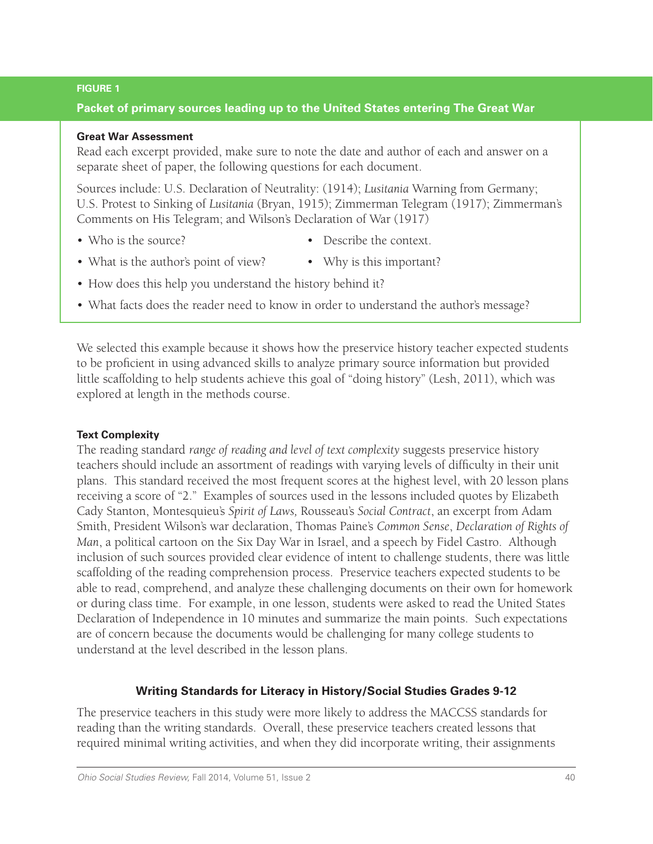#### **FIGURE 1**

## **Packet of primary sources leading up to the United States entering The Great War**

#### **Great War Assessment**

Read each excerpt provided, make sure to note the date and author of each and answer on a separate sheet of paper, the following questions for each document.

Sources include: U.S. Declaration of Neutrality: (1914); *Lusitania* Warning from Germany; U.S. Protest to Sinking of *Lusitania* (Bryan, 1915); Zimmerman Telegram (1917); Zimmerman's Comments on His Telegram; and Wilson's Declaration of War (1917)

- Who is the source? Describe the context.
- What is the author's point of view? Why is this important?
- How does this help you understand the history behind it?
- What facts does the reader need to know in order to understand the author's message?

We selected this example because it shows how the preservice history teacher expected students to be proficient in using advanced skills to analyze primary source information but provided little scaffolding to help students achieve this goal of "doing history" (Lesh, 2011), which was explored at length in the methods course.

### **Text Complexity**

The reading standard *range of reading and level of text complexity* suggests preservice history teachers should include an assortment of readings with varying levels of difficulty in their unit plans. This standard received the most frequent scores at the highest level, with 20 lesson plans receiving a score of "2." Examples of sources used in the lessons included quotes by Elizabeth Cady Stanton, Montesquieu's *Spirit of Laws,* Rousseau's *Social Contract*, an excerpt from Adam Smith, President Wilson's war declaration, Thomas Paine's *Common Sense*, *Declaration of Rights of Man*, a political cartoon on the Six Day War in Israel, and a speech by Fidel Castro. Although inclusion of such sources provided clear evidence of intent to challenge students, there was little scaffolding of the reading comprehension process. Preservice teachers expected students to be able to read, comprehend, and analyze these challenging documents on their own for homework or during class time. For example, in one lesson, students were asked to read the United States Declaration of Independence in 10 minutes and summarize the main points. Such expectations are of concern because the documents would be challenging for many college students to understand at the level described in the lesson plans.

## **Writing Standards for Literacy in History/Social Studies Grades 9-12**

The preservice teachers in this study were more likely to address the MACCSS standards for reading than the writing standards. Overall, these preservice teachers created lessons that required minimal writing activities, and when they did incorporate writing, their assignments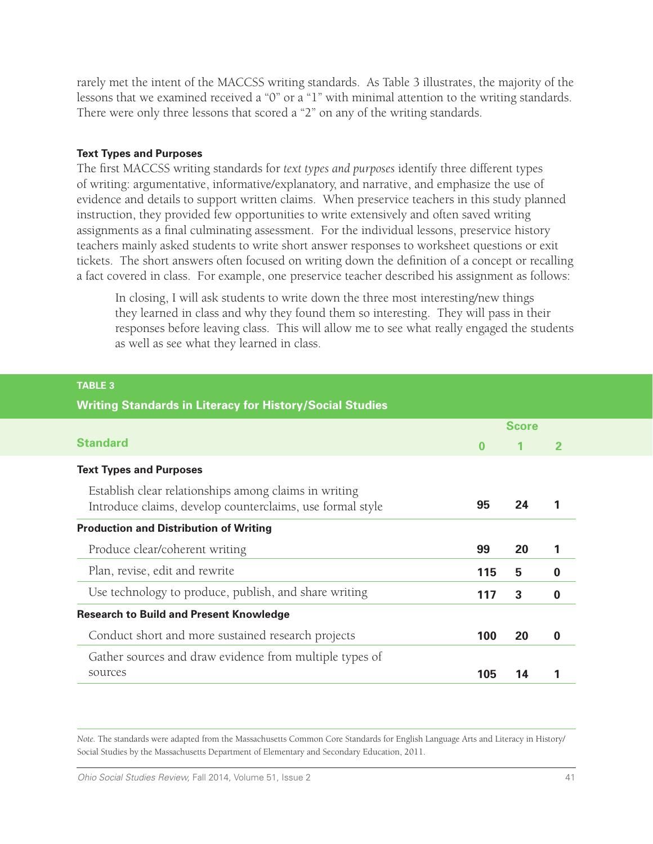rarely met the intent of the MACCSS writing standards. As Table 3 illustrates, the majority of the lessons that we examined received a "0" or a "1" with minimal attention to the writing standards. There were only three lessons that scored a "2" on any of the writing standards.

#### **Text Types and Purposes**

**TABLE 3**

The first MACCSS writing standards for *text types and purposes* identify three different types of writing: argumentative, informative/explanatory, and narrative, and emphasize the use of evidence and details to support written claims. When preservice teachers in this study planned instruction, they provided few opportunities to write extensively and often saved writing assignments as a final culminating assessment. For the individual lessons, preservice history teachers mainly asked students to write short answer responses to worksheet questions or exit tickets. The short answers often focused on writing down the definition of a concept or recalling a fact covered in class. For example, one preservice teacher described his assignment as follows:

In closing, I will ask students to write down the three most interesting/new things they learned in class and why they found them so interesting. They will pass in their responses before leaving class. This will allow me to see what really engaged the students as well as see what they learned in class.

| <b>Writing Standards in Literacy for History/Social Studies</b>                                                    |              |    |   |
|--------------------------------------------------------------------------------------------------------------------|--------------|----|---|
|                                                                                                                    | <b>Score</b> |    |   |
| <b>Standard</b>                                                                                                    | $\bf{0}$     |    |   |
| <b>Text Types and Purposes</b>                                                                                     |              |    |   |
| Establish clear relationships among claims in writing<br>Introduce claims, develop counterclaims, use formal style | 95           | 24 |   |
| <b>Production and Distribution of Writing</b>                                                                      |              |    |   |
| Produce clear/coherent writing                                                                                     | 99           | 20 | 1 |
| Plan, revise, edit and rewrite                                                                                     | 115          | 5  | 0 |
| Use technology to produce, publish, and share writing                                                              |              | 3  | 0 |
|                                                                                                                    | 117          |    |   |
| <b>Research to Build and Present Knowledge</b>                                                                     |              |    |   |
| Conduct short and more sustained research projects                                                                 | 100          | 20 | O |
| Gather sources and draw evidence from multiple types of                                                            |              |    |   |

#### *Note.* The standards were adapted from the Massachusetts Common Core Standards for English Language Arts and Literacy in History/ Social Studies by the Massachusetts Department of Elementary and Secondary Education, 2011.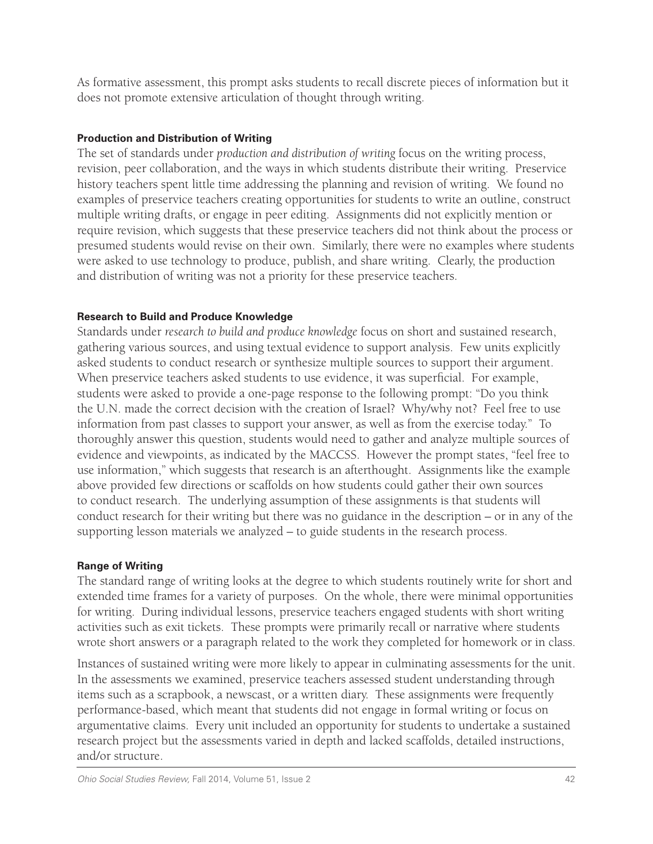As formative assessment, this prompt asks students to recall discrete pieces of information but it does not promote extensive articulation of thought through writing.

## **Production and Distribution of Writing**

The set of standards under *production and distribution of writing* focus on the writing process, revision, peer collaboration, and the ways in which students distribute their writing. Preservice history teachers spent little time addressing the planning and revision of writing. We found no examples of preservice teachers creating opportunities for students to write an outline, construct multiple writing drafts, or engage in peer editing. Assignments did not explicitly mention or require revision, which suggests that these preservice teachers did not think about the process or presumed students would revise on their own. Similarly, there were no examples where students were asked to use technology to produce, publish, and share writing. Clearly, the production and distribution of writing was not a priority for these preservice teachers.

## **Research to Build and Produce Knowledge**

Standards under *research to build and produce knowledge* focus on short and sustained research, gathering various sources, and using textual evidence to support analysis. Few units explicitly asked students to conduct research or synthesize multiple sources to support their argument. When preservice teachers asked students to use evidence, it was superficial. For example, students were asked to provide a one-page response to the following prompt: "Do you think the U.N. made the correct decision with the creation of Israel? Why/why not? Feel free to use information from past classes to support your answer, as well as from the exercise today." To thoroughly answer this question, students would need to gather and analyze multiple sources of evidence and viewpoints, as indicated by the MACCSS. However the prompt states, "feel free to use information," which suggests that research is an afterthought. Assignments like the example above provided few directions or scaffolds on how students could gather their own sources to conduct research. The underlying assumption of these assignments is that students will conduct research for their writing but there was no guidance in the description – or in any of the supporting lesson materials we analyzed – to guide students in the research process.

### **Range of Writing**

The standard range of writing looks at the degree to which students routinely write for short and extended time frames for a variety of purposes. On the whole, there were minimal opportunities for writing. During individual lessons, preservice teachers engaged students with short writing activities such as exit tickets. These prompts were primarily recall or narrative where students wrote short answers or a paragraph related to the work they completed for homework or in class.

Instances of sustained writing were more likely to appear in culminating assessments for the unit. In the assessments we examined, preservice teachers assessed student understanding through items such as a scrapbook, a newscast, or a written diary. These assignments were frequently performance-based, which meant that students did not engage in formal writing or focus on argumentative claims. Every unit included an opportunity for students to undertake a sustained research project but the assessments varied in depth and lacked scaffolds, detailed instructions, and/or structure.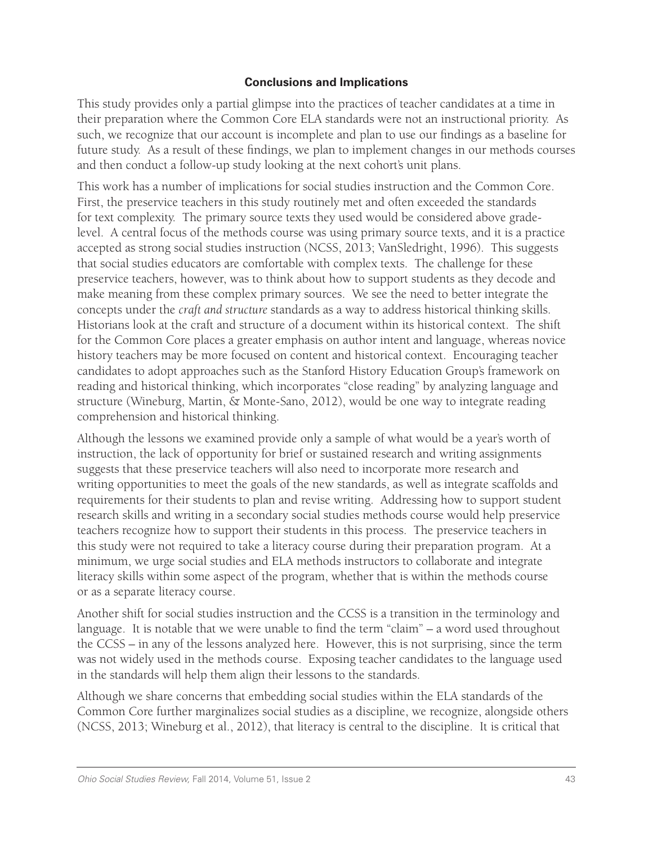## **Conclusions and Implications**

This study provides only a partial glimpse into the practices of teacher candidates at a time in their preparation where the Common Core ELA standards were not an instructional priority. As such, we recognize that our account is incomplete and plan to use our findings as a baseline for future study. As a result of these findings, we plan to implement changes in our methods courses and then conduct a follow-up study looking at the next cohort's unit plans.

This work has a number of implications for social studies instruction and the Common Core. First, the preservice teachers in this study routinely met and often exceeded the standards for text complexity. The primary source texts they used would be considered above gradelevel. A central focus of the methods course was using primary source texts, and it is a practice accepted as strong social studies instruction (NCSS, 2013; VanSledright, 1996). This suggests that social studies educators are comfortable with complex texts. The challenge for these preservice teachers, however, was to think about how to support students as they decode and make meaning from these complex primary sources. We see the need to better integrate the concepts under the *craft and structure* standards as a way to address historical thinking skills. Historians look at the craft and structure of a document within its historical context. The shift for the Common Core places a greater emphasis on author intent and language, whereas novice history teachers may be more focused on content and historical context. Encouraging teacher candidates to adopt approaches such as the Stanford History Education Group's framework on reading and historical thinking, which incorporates "close reading" by analyzing language and structure (Wineburg, Martin, & Monte-Sano, 2012), would be one way to integrate reading comprehension and historical thinking.

Although the lessons we examined provide only a sample of what would be a year's worth of instruction, the lack of opportunity for brief or sustained research and writing assignments suggests that these preservice teachers will also need to incorporate more research and writing opportunities to meet the goals of the new standards, as well as integrate scaffolds and requirements for their students to plan and revise writing. Addressing how to support student research skills and writing in a secondary social studies methods course would help preservice teachers recognize how to support their students in this process. The preservice teachers in this study were not required to take a literacy course during their preparation program. At a minimum, we urge social studies and ELA methods instructors to collaborate and integrate literacy skills within some aspect of the program, whether that is within the methods course or as a separate literacy course.

Another shift for social studies instruction and the CCSS is a transition in the terminology and language. It is notable that we were unable to find the term "claim" – a word used throughout the CCSS – in any of the lessons analyzed here. However, this is not surprising, since the term was not widely used in the methods course. Exposing teacher candidates to the language used in the standards will help them align their lessons to the standards.

Although we share concerns that embedding social studies within the ELA standards of the Common Core further marginalizes social studies as a discipline, we recognize, alongside others (NCSS, 2013; Wineburg et al., 2012), that literacy is central to the discipline. It is critical that